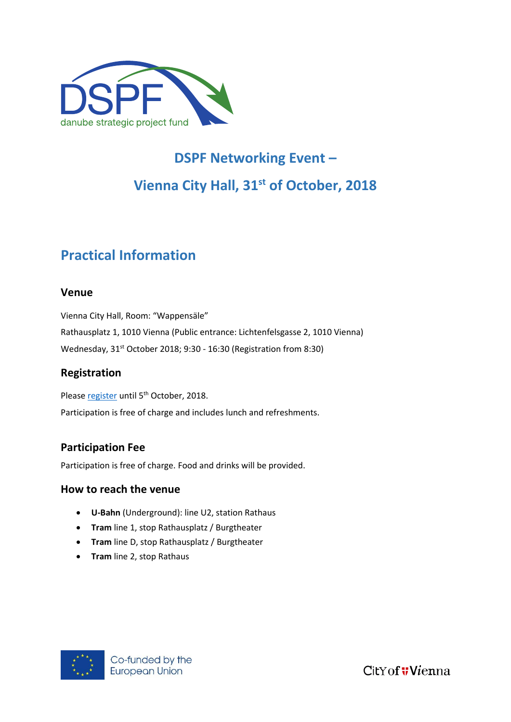

# **DSPF Networking Event – Vienna City Hall, 31st of October, 2018**

# **Practical Information**

#### **Venue**

Vienna City Hall, Room: "Wappensäle" Rathausplatz 1, 1010 Vienna (Public entrance: Lichtenfelsgasse 2, 1010 Vienna) Wednesday, 31st October 2018; 9:30 - 16:30 (Registration from 8:30)

#### **Registration**

Please [register](https://www.eventbrite.com/e/dspf-networking-event-tickets-49977619405) until 5<sup>th</sup> October, 2018. Participation is free of charge and includes lunch and refreshments.

## **Participation Fee**

Participation is free of charge. Food and drinks will be provided.

#### **How to reach the venue**

- **U-Bahn** (Underground): line U2, station Rathaus
- **Tram** line 1, stop Rathausplatz / Burgtheater
- **Tram** line D, stop Rathausplatz / Burgtheater
- **Tram** line 2, stop Rathaus



CitY of *Wienna*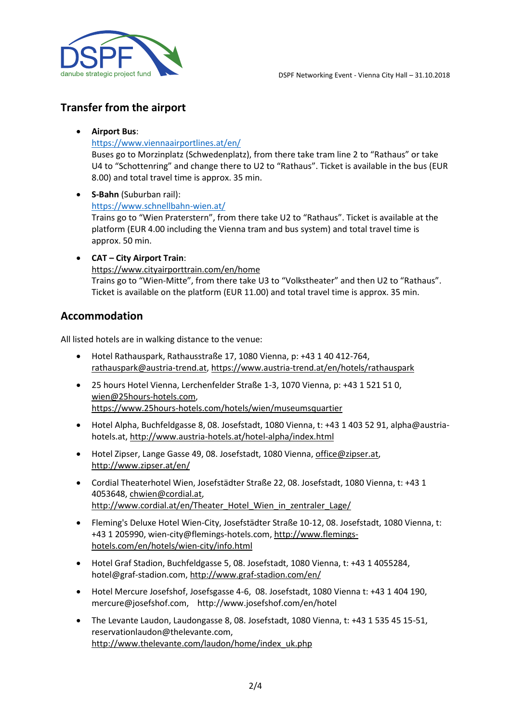

### **Transfer from the airport**

#### **Airport Bus**:

#### <https://www.viennaairportlines.at/en/>

Buses go to Morzinplatz (Schwedenplatz), from there take tram line 2 to "Rathaus" or take U4 to "Schottenring" and change there to U2 to "Rathaus". Ticket is available in the bus (EUR 8.00) and total travel time is approx. 35 min.

- **S-Bahn** (Suburban rail): <https://www.schnellbahn-wien.at/> Trains go to "Wien Praterstern", from there take U2 to "Rathaus". Ticket is available at the platform (EUR 4.00 including the Vienna tram and bus system) and total travel time is approx. 50 min.
- **CAT – City Airport Train**: <https://www.cityairporttrain.com/en/home> Trains go to "Wien-Mitte", from there take U3 to "Volkstheater" and then U2 to "Rathaus". Ticket is available on the platform (EUR 11.00) and total travel time is approx. 35 min.

#### **Accommodation**

All listed hotels are in walking distance to the venue:

- Hotel Rathauspark, Rathausstraße 17, 1080 Vienna, p: +43 1 40 412-764, [rathauspark@austria-trend.at,](mailto:rathauspark@austria-trend.at)<https://www.austria-trend.at/en/hotels/rathauspark>
- 25 hours Hotel Vienna, Lerchenfelder Straße 1-3, 1070 Vienna, p: +43 1 521 51 0, [wien@25hours-hotels.com,](mailto:wien@25hours-hotels.com) <https://www.25hours-hotels.com/hotels/wien/museumsquartier>
- Hotel Alpha, Buchfeldgasse 8, 08. Josefstadt, 1080 Vienna, t: +43 1 403 52 91, alpha@austriahotels.at,<http://www.austria-hotels.at/hotel-alpha/index.html>
- Hotel Zipser, Lange Gasse 49, 08. Josefstadt, 1080 Vienna, [office@zipser.at,](mailto:office@zipser.at) <http://www.zipser.at/en/>
- Cordial Theaterhotel Wien, Josefstädter Straße 22, 08. Josefstadt, 1080 Vienna, t: +43 1 4053648, [chwien@cordial.at,](mailto:chwien@cordial.at) [http://www.cordial.at/en/Theater\\_Hotel\\_Wien\\_in\\_zentraler\\_Lage/](http://www.cordial.at/en/Theater_Hotel_Wien_in_zentraler_Lage/)
- Fleming's Deluxe Hotel Wien-City, Josefstädter Straße 10-12, 08. Josefstadt, 1080 Vienna, t: +43 1 205990, wien-city@flemings-hotels.com[, http://www.flemings](http://www.flemings-hotels.com/en/hotels/wien-city/info.html)[hotels.com/en/hotels/wien-city/info.html](http://www.flemings-hotels.com/en/hotels/wien-city/info.html)
- Hotel Graf Stadion, Buchfeldgasse 5, 08. Josefstadt, 1080 Vienna, t: +43 1 4055284, hotel@graf-stadion.com,<http://www.graf-stadion.com/en/>
- Hotel Mercure Josefshof, Josefsgasse 4-6, 08. Josefstadt, 1080 Vienna t: +43 1 404 190, mercure@josefshof.com, http://www.josefshof.com/en/hotel
- The Levante Laudon, Laudongasse 8, 08. Josefstadt, 1080 Vienna, t: +43 1 535 45 15-51, reservationlaudon@thelevante.com, [http://www.thelevante.com/laudon/home/index\\_uk.php](http://www.thelevante.com/laudon/home/index_uk.php)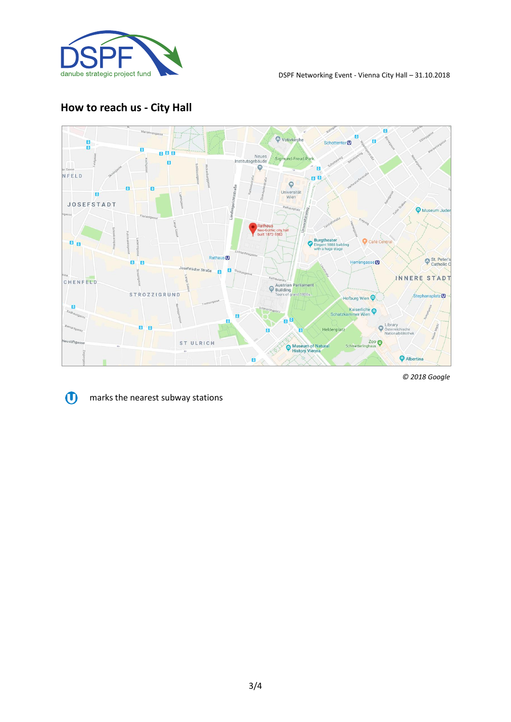

## **How to reach us - City Hall**



*© 2018 Google*



marks the nearest subway stations